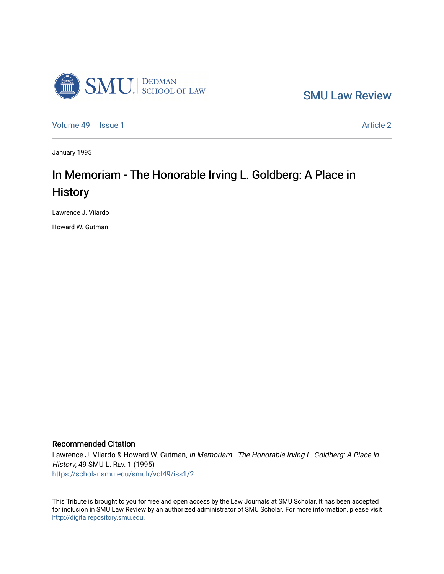

[SMU Law Review](https://scholar.smu.edu/smulr) 

[Volume 49](https://scholar.smu.edu/smulr/vol49) | [Issue 1](https://scholar.smu.edu/smulr/vol49/iss1) Article 2

January 1995

## In Memoriam - The Honorable Irving L. Goldberg: A Place in **History**

Lawrence J. Vilardo

Howard W. Gutman

## Recommended Citation

Lawrence J. Vilardo & Howard W. Gutman, In Memoriam - The Honorable Irving L. Goldberg: A Place in History, 49 SMU L. REV. 1 (1995) [https://scholar.smu.edu/smulr/vol49/iss1/2](https://scholar.smu.edu/smulr/vol49/iss1/2?utm_source=scholar.smu.edu%2Fsmulr%2Fvol49%2Fiss1%2F2&utm_medium=PDF&utm_campaign=PDFCoverPages) 

This Tribute is brought to you for free and open access by the Law Journals at SMU Scholar. It has been accepted for inclusion in SMU Law Review by an authorized administrator of SMU Scholar. For more information, please visit [http://digitalrepository.smu.edu.](http://digitalrepository.smu.edu/)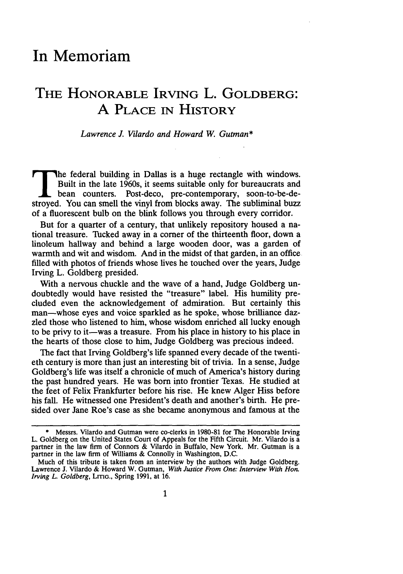## **In Memoriam**

## **THE HONORABLE IRVING L. GOLDBERG: A** PLACE IN HISTORY

*Lawrence J. Vilardo and Howard W. Gutman\**

**The** federal building in Dallas is a huge rectangle with windows.

The federal building in Dallas is a huge rectangle with windows. Built in the late 1960s, it seems suitable only for bureaucrats and bean counters. Post-deco, pre-contemporary, soon-to-be-destroyed. You can smell the vinyl from blocks away. The subliminal buzz of a fluorescent bulb on the blink follows you through every corridor.

But for a quarter of a century, that unlikely repository housed a national treasure. Tucked away in a corner of the thirteenth floor, down a linoleum hallway and behind a large wooden door, was a garden of warmth and wit and wisdom. And in the midst of that garden, in an office filled with photos of friends whose lives he touched over the years, Judge Irving L. Goldberg presided.

With a nervous chuckle and the wave of a hand, Judge Goldberg undoubtedly would have resisted the "treasure" label. His humility precluded even the acknowledgement of admiration. But certainly this man-whose eyes and voice sparkled as he spoke, whose brilliance dazzled those who listened to him, whose wisdom enriched all lucky enough to be privy to it-was a treasure. From his place in history to his place in the hearts of those close to him, Judge Goldberg was precious indeed.

The fact that Irving Goldberg's life spanned every decade of the twentieth century is more than just an interesting bit of trivia. In a sense, Judge Goldberg's life was itself a chronicle of much of America's history during the past hundred years. He was born into frontier Texas. He studied at the feet of Felix Frankfurter before his rise. He knew Alger Hiss before his fall. He witnessed one President's death and another's birth. He presided over Jane Roe's case as she became anonymous and famous at the

**<sup>\*</sup>** Messrs. Vilardo and Gutman were co-clerks in 1980-81 for The Honorable Irving L. Goldberg on the United States Court of Appeals for the Fifth Circuit. Mr. Vilardo is a partner in the law firm of Connors & Vilardo in Buffalo, New York. Mr. Gutman is a partner in the law firm of Williams & Connolly in Washington, D.C.

Much of this tribute is taken from an interview by the authors with Judge Goldberg. Lawrence J. Vilardo & Howard W. Gutman, *With Justice From One: Interview With Hon. Irving L. Goldberg, LITIG., Spring 1991, at 16.*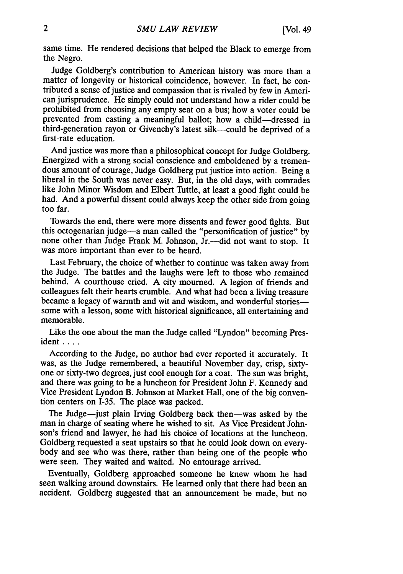same time. He rendered decisions that helped the Black to emerge from the Negro.

Judge Goldberg's contribution to American history was more than a matter of longevity or historical coincidence, however. In fact, he contributed a sense of justice and compassion that is rivaled by few in American jurisprudence. He simply could not understand how a rider could be prohibited from choosing any empty seat on a bus; how a voter could be prevented from casting a meaningful ballot; how a child-dressed in third-generation rayon or Givenchy's latest silk-could be deprived of a first-rate education.

And justice was more than a philosophical concept for Judge Goldberg. Energized with a strong social conscience and emboldened by a tremendous amount of courage, Judge Goldberg put justice into action. Being a liberal in the South was never easy. But, in the old days, with comrades like John Minor Wisdom and Elbert Tuttle, at least a good fight could be had. And a powerful dissent could always keep the other side from going too far.

Towards the end, there were more dissents and fewer good fights. But this octogenarian judge-a man called the "personification of justice" by none other than Judge Frank M. Johnson, Jr.---did not want to stop. It was more important than ever to be heard.

Last February, the choice of whether to continue was taken away from the Judge. The battles and the laughs were left to those who remained behind. A courthouse cried. A city mourned. A legion of friends and colleagues felt their hearts crumble. And what had been a living treasure became a legacy of warmth and wit and wisdom, and wonderful storiessome with a lesson, some with historical significance, all entertaining and memorable.

Like the one about the man the Judge called "Lyndon" becoming President . . . .

According to the Judge, no author had ever reported it accurately. It was, as the Judge remembered, a beautiful November day, crisp, sixtyone or sixty-two degrees, just cool enough for a coat. The sun was bright, and there was going to be a luncheon for President John F. Kennedy and Vice President Lyndon B. Johnson at Market Hall, one of the big convention centers on 1-35. The place was packed.

The Judge-just plain Irving Goldberg back then-was asked by the man in charge of seating where he wished to sit. As Vice President Johnson's friend and lawyer, he had his choice of locations at the luncheon. Goldberg requested a seat upstairs so that he could look down on everybody and see who was there, rather than being one of the people who were seen. They waited and waited. No entourage arrived.

Eventually, Goldberg approached someone he knew whom he had seen walking around downstairs. He learned only that there had been an accident. Goldberg suggested that an announcement be made, but no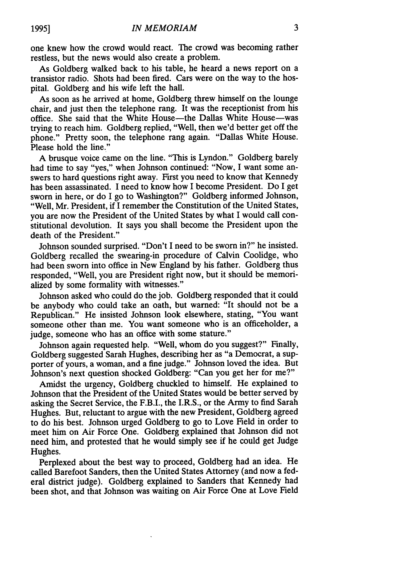one knew how the crowd would react. The crowd was becoming rather restless, but the news would also create a problem.

As Goldberg walked back to his table, he heard a news report on a transistor radio. Shots had been fired. Cars were on the way to the hospital. Goldberg and his wife left the hall.

As soon as he arrived at home, Goldberg threw himself on the lounge chair, and just then the telephone rang. It was the receptionist from his office. She said that the White House-the Dallas White House-was trying to reach him. Goldberg replied, "Well, then we'd better get off the phone." Pretty soon, the telephone rang again. "Dallas White House. Please hold the line."

A brusque voice came on the line. "This is Lyndon." Goldberg barely had time to say "yes," when Johnson continued: "Now, I want some answers to hard questions right away. First you need to know that Kennedy has been assassinated. I need to know how I become President. Do I get sworn in here, or do I go to Washington?" Goldberg informed Johnson, "Well, Mr. President, if I remember the Constitution of the United States, you are now the President of the United States by what I would call constitutional devolution. It says you shall become the President upon the death of the President."

Johnson sounded surprised. "Don't I need to be sworn in?" he insisted. Goldberg recalled the swearing-in procedure of Calvin Coolidge, who had been sworn into office in New England by his father. Goldberg thus responded, "Well, you are President right now, but it should be memorialized by some formality with witnesses."

Johnson asked who could do the job. Goldberg responded that it could be anybody who could take an oath, but warned: "It should not be a Republican." He insisted Johnson look elsewhere, stating, "You want someone other than me. You want someone who is an officeholder, a judge, someone who has an office with some stature."

Johnson again requested help. "Well, whom do you suggest?" Finally, Goldberg suggested Sarah Hughes, describing her as "a Democrat, a supporter of yours, a woman, and a fine judge." Johnson loved the idea. But Johnson's next question shocked Goldberg: "Can you get her for me?"

Amidst the urgency, Goldberg chuckled to himself. He explained to Johnson that the President of the United States would be better served by asking the Secret Service, the F.B.I., the I.R.S., or the Army to find Sarah Hughes. But, reluctant to argue with the new President, Goldberg agreed to do his best. Johnson urged Goldberg to go to Love Field in order to meet him on Air Force One. Goldberg explained that Johnson did not need him, and protested that he would simply see if he could get Judge Hughes.

Perplexed about the best way to proceed, Goldberg had an idea. He called Barefoot Sanders, then the United States Attorney (and now a federal district judge). Goldberg explained to Sanders that Kennedy had been shot, and that Johnson was waiting on Air Force One at Love Field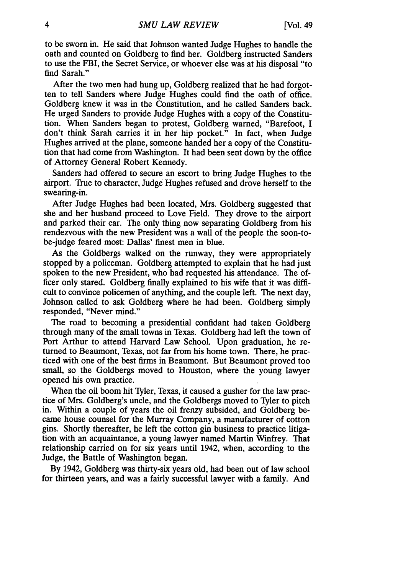to be sworn in. He said that Johnson wanted Judge Hughes to handle the oath and counted on Goldberg to find her. Goldberg instructed Sanders to use the FBI, the Secret Service, or whoever else was at his disposal "to find Sarah."

After the two men had hung up, Goldberg realized that he had forgotten to tell Sanders where Judge Hughes could find the oath of office. Goldberg knew it was in the Constitution, and he called Sanders back. He urged Sanders to provide Judge Hughes with a copy of the Constitution. When Sanders began to protest, Goldberg warned, "Barefoot, I don't think Sarah carries it in her hip pocket." In fact, when Judge Hughes arrived at the plane, someone handed her a copy of the Constitution that had come from Washington. It had been sent down by the office of Attorney General Robert Kennedy.

Sanders had offered to secure an escort to bring Judge Hughes to the airport. True to character, Judge Hughes refused and drove herself to the swearing-in.

After Judge Hughes had been located, Mrs. Goldberg suggested that she and her husband proceed to Love Field. They drove to the airport and parked their car. The only thing now separating Goldberg from his rendezvous with the new President was a wall of the people the soon-tobe-judge feared most: Dallas' finest men in blue.

As the Goldbergs walked on the runway, they were appropriately stopped by a policeman. Goldberg attempted to explain that he had just spoken to the new President, who had requested his attendance. The officer only stared. Goldberg finally explained to his wife that it was difficult to convince policemen of anything, and the couple left. The next day, Johnson called to ask Goldberg where he had been. Goldberg simply responded, "Never mind."

The road to becoming a presidential confidant had taken Goldberg through many of the small towns in Texas. Goldberg had left the town of Port Arthur to attend Harvard Law School. Upon graduation, he returned to Beaumont, Texas, not far from his home town. There, he practiced with one of the best firms in Beaumont. But Beaumont proved too small, so the Goldbergs moved to Houston, where the young lawyer opened his own practice.

When the oil boom hit Tyler, Texas, it caused a gusher for the law practice of Mrs. Goldberg's uncle, and the Goldbergs moved to Tyler to pitch in. Within a couple of years the oil frenzy subsided, and Goldberg became house counsel for the Murray Company, a manufacturer of cotton gins. Shortly thereafter, he left the cotton gin business to practice litigation with an acquaintance, a young lawyer named Martin Winfrey. That relationship carried on for six years until 1942, when, according to the Judge, the Battle of Washington began.

By 1942, Goldberg was thirty-six years old, had been out of law school for thirteen years, and was a fairly successful lawyer with a family. And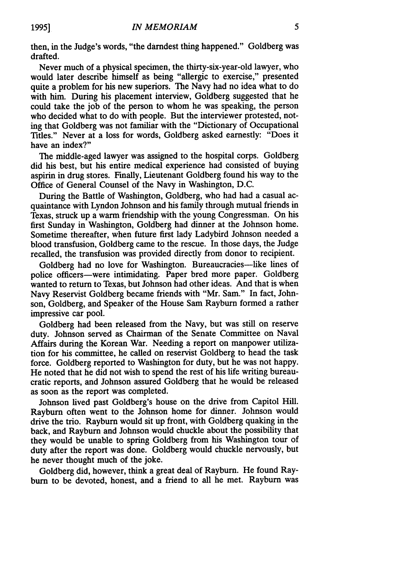then, in the Judge's words, "the darndest thing happened." Goldberg was drafted.

Never much of a physical specimen, the thirty-six-year-old lawyer, who would later describe himself as being "allergic to exercise," presented quite a problem for his new superiors. The Navy had no idea what to do with him. During his placement interview, Goldberg suggested that he could take the job of the person to whom he was speaking, the person who decided what to do with people. But the interviewer protested, noting that Goldberg was not familiar with the "Dictionary of Occupational Titles." Never at a loss for words, Goldberg asked earnestly: "Does it have an index?"

The middle-aged lawyer was assigned to the hospital corps. Goldberg did his best, but his entire medical experience had consisted of buying aspirin in drug stores. Finally, Lieutenant Goldberg found his way to the Office of General Counsel of the Navy in Washington, D.C.

During the Battle of Washington, Goldberg, who had had a casual acquaintance with Lyndon Johnson and his family through mutual friends in Texas, struck up a warm friendship with the young Congressman. On his first Sunday in Washington, Goldberg had dinner at the Johnson home. Sometime thereafter, when future first lady Ladybird Johnson needed a blood transfusion, Goldberg came to the rescue. In those days, the Judge recalled, the transfusion was provided directly from donor to recipient.

Goldberg had no love for Washington. Bureaucracies—like lines of police officers-were intimidating. Paper bred more paper. Goldberg wanted to return to Texas, but Johnson had other ideas. And that is when Navy Reservist Goldberg became friends with "Mr. Sam." In fact, Johnson, Goldberg, and Speaker of the House Sam Rayburn formed a rather impressive car pool.

Goldberg had been released from the Navy, but was still on reserve duty. Johnson served as Chairman of the Senate Committee on Naval Affairs during the Korean War. Needing a report on manpower utilization for his committee, he called on reservist Goldberg to head the task force. Goldberg reported to Washington for duty, but he was not happy. He noted that he did not wish to spend the rest of his life writing bureaucratic reports, and Johnson assured Goldberg that he would be released as soon as the report was completed.

Johnson lived past Goldberg's house on the drive from Capitol Hill. Rayburn often went to the Johnson home for dinner. Johnson would drive the trio. Rayburn would sit up front, with Goldberg quaking in the back, and Rayburn and Johnson would chuckle about the possibility that they would be unable to spring Goldberg from his Washington tour of duty after the report was done. Goldberg would chuckle nervously, but he never thought much of the joke.

Goldberg did, however, think a great deal of Rayburn. He found Raybum to be devoted, honest, and a friend to all he met. Rayburn was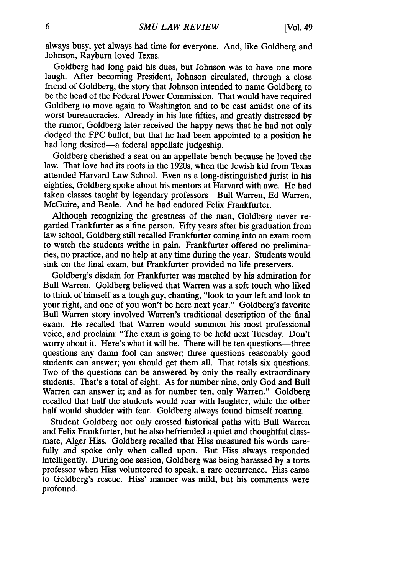always busy, yet always had time for everyone. And, like Goldberg and Johnson, Rayburn loved Texas.

Goldberg had long paid his dues, but Johnson was to have one more laugh. After becoming President, Johnson circulated, through a close friend of Goldberg, the story that Johnson intended to name Goldberg to be the head of the Federal Power Commission. That would have required Goldberg to move again to Washington and to be cast amidst one of its worst bureaucracies. Already in his late fifties, and greatly distressed by the rumor, Goldberg later received the happy news that he had not only dodged the FPC bullet, but that he had been appointed to a position he had long desired—a federal appellate judgeship.

Goldberg cherished a seat on an appellate bench because he loved the law. That love had its roots in the 1920s, when the Jewish kid from Texas attended Harvard Law School. Even as a long-distinguished jurist in his eighties, Goldberg spoke about his mentors at Harvard with awe. He had taken classes taught by legendary professors-Bull Warren, Ed Warren, McGuire, and Beale. And he had endured Felix Frankfurter.

Although recognizing the greatness of the man, Goldberg never regarded Frankfurter as a fine person. Fifty years after his graduation from law school, Goldberg still recalled Frankfurter coming into an exam room to watch the students writhe in pain. Frankfurter offered no preliminaries, no practice, and no help at any time during the year. Students would sink on the final exam, but Frankfurter provided no life preservers.

Goldberg's disdain for Frankfurter was matched by his admiration for Bull Warren. Goldberg believed that Warren was a soft touch who liked to think of himself as a tough guy, chanting, "look to your left and look to your right, and one of you won't be here next year." Goldberg's favorite Bull Warren story involved Warren's traditional description of the final exam. He recalled that Warren would summon his most professional voice, and proclaim: "The exam is going to be held next Tuesday. Don't worry about it. Here's what it will be. There will be ten questions—three questions any damn fool can answer; three questions reasonably good students can answer; you should get them all. That totals six questions. TWo of the questions can be answered by only the really extraordinary students. That's a total of eight. As for number nine, only God and Bull Warren can answer it; and as for number ten, only Warren." Goldberg recalled that half the students would roar with laughter, while the other half would shudder with fear. Goldberg always found himself roaring.

Student Goldberg not only crossed historical paths with Bull Warren and Felix Frankfurter, but he also befriended a quiet and thoughtful classmate, Alger Hiss. Goldberg recalled that Hiss measured his words carefully and spoke only when called upon. But Hiss always responded intelligently. During one session, Goldberg was being harassed by a torts professor when Hiss volunteered to speak, a rare occurrence. Hiss came to Goldberg's rescue. Hiss' manner was mild, but his comments were profound.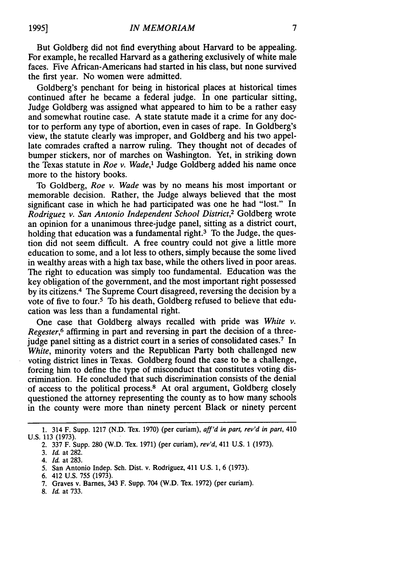But Goldberg did not find everything about Harvard to be appealing. For example, he recalled Harvard as a gathering exclusively of white male faces. Five African-Americans had started in his class, but none survived the first year. No women were admitted.

Goldberg's penchant for being in historical places at historical times continued after he became a federal judge. In one particular sitting, Judge Goldberg was assigned what appeared to him to be a rather easy and somewhat routine case. A state statute made it a crime for any doctor to perform any type of abortion, even in cases of rape. In Goldberg's view, the statute clearly was improper, and Goldberg and his two appellate comrades crafted a narrow ruling. They thought not of decades of bumper stickers, nor of marches on Washington. Yet, in striking down the Texas statute in *Roe v. Wade,'* Judge Goldberg added his name once more to the history books.

To Goldberg, *Roe v. Wade* was by no means his most important or memorable decision. Rather, the Judge always believed that the most significant case in which he had participated was one he had "lost." In *Rodriguez v. San Antonio Independent School District,2* Goldberg wrote an opinion for a unanimous three-judge panel, sitting as a district court, holding that education was a fundamental right. $3$  To the Judge, the question did not seem difficult. A free country could not give a little more education to some, and a lot less to others, simply because the some lived in wealthy areas with a high tax base, while the others lived in poor areas. The right to education was simply too fundamental. Education was the key obligation of the government, and the most important right possessed by its citizens.4 The Supreme Court disagreed, reversing the decision by a vote of five to four.5 To his death, Goldberg refused to believe that education was less than a fundamental right.

One case that Goldberg always recalled with pride was *White v. Regester,6* affirming in part and reversing in part the decision of a threejudge panel sitting as a district court in a series of consolidated cases.<sup>7</sup> In *White,* minority voters and the Republican Party both challenged new voting district lines in Texas. Goldberg found the case to be a challenge, forcing him to define the type of misconduct that constitutes voting discrimination. He concluded that such discrimination consists of the denial of access to the political process.8 At oral argument, Goldberg closely questioned the attorney representing the county as to how many schools in the county were more than ninety percent Black or ninety percent

- 7. Graves v. Barnes, 343 F. Supp. 704 (W.D. Tex. 1972) (per curiam).
- 8. *Id* at 733.

<sup>1. 314</sup> F. Supp. 1217 (N.D. Tex. 1970) (per curiam), *aff'd in part, rev'd in part,* 410 U.S. **113** (1973).

<sup>2. 337</sup> F. Supp. 280 (W.D. Tex. 1971) (per curiam), *rev'd,* 411 U.S. 1 (1973).

**<sup>3.</sup>** *Id* at 282.

*<sup>4.</sup> Id.* at 283.

*<sup>5.</sup>* San Antonio Indep. Sch. Dist. v. Rodriguez, 411 U.S. 1, 6 (1973).

<sup>6. 412</sup> U.S. 755 (1973).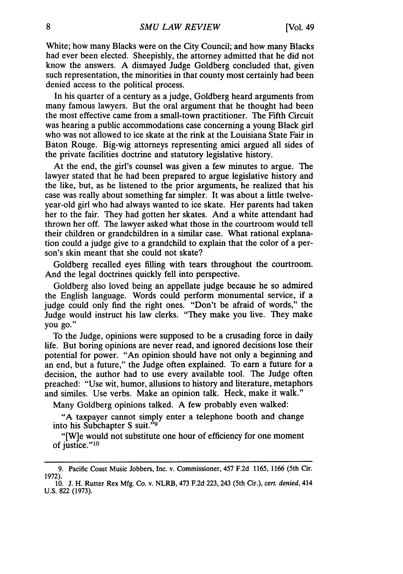White; how many Blacks were on the City Council; and how many Blacks had ever been elected. Sheepishly, the attorney admitted that he did not know the answers. A dismayed Judge Goldberg concluded that, given such representation, the minorities in that county most certainly had been denied access to the political process.

In his quarter of a century as a judge, Goldberg heard arguments from many famous lawyers. But the oral argument that he thought had been the most effective came from a small-town practitioner. The Fifth Circuit was hearing a public accommodations case concerning a young Black girl who was not allowed to ice skate at the rink at the Louisiana State Fair in Baton Rouge. Big-wig attorneys representing amici argued all sides of the private facilities doctrine and statutory legislative history.

At the end, the girl's counsel was given a few minutes to argue. The lawyer stated that he had been prepared to argue legislative history and the like, but, as he listened to the prior arguments, he realized that his case was really about something far simpler. It was about a little twelveyear-old girl who had always wanted to ice skate. Her parents had taken her to the fair. They had gotten her skates. And a white attendant had thrown her off. The lawyer asked what those in the courtroom would tell their children or grandchildren in a similar case. What rational explanation could a judge give to a grandchild to explain that the color of a person's skin meant that she could not skate?

Goldberg recalled eyes filling with tears throughout the courtroom. And the legal doctrines quickly fell into perspective.

Goldberg also loved being an appellate judge because he so admired the English language. Words could perform monumental service, if a judge could only find the right ones. "Don't be afraid of words," the Judge would instruct his law clerks. "They make you live. They make you **go."**

To the Judge, opinions were supposed to be a crusading force in daily life. But boring opinions are never read, and ignored decisions lose their potential for power. "An opinion should have not only a beginning and an end, but a future," the Judge often explained. To earn a future for a decision, the author had to use every available tool. The Judge often preached: "Use wit, humor, allusions to history and literature, metaphors and similes. Use verbs. Make an opinion talk. Heck, make it walk."

Many Goldberg opinions talked. A few probably even walked:

"A taxpayer cannot simply enter a telephone booth and change into his Subchapter S suit."<sup>9</sup>

"[W]e would not substitute one hour of efficiency for one moment of justice."<sup>10</sup>

<sup>9.</sup> Pacific Coast Music Jobbers, Inc. v. Commissioner, 457 F.2d 1165, 1166 (5th Cir. 1972).<br>10. J. H. Rutter Rex Mfg. Co. v. NLRB, 473 F.2d 223, 243 (5th Cir.), cert. denied, 414

U.S. 822 (1973).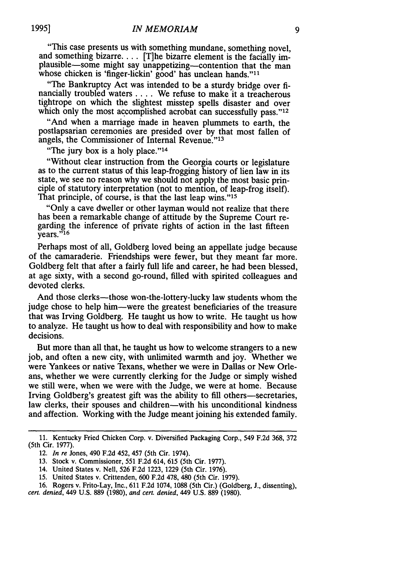"This case presents us with something mundane, something novel, and something bizarre.... [T]he bizarre element is the facially implausible-some might say unappetizing-contention that the man whose chicken is 'finger-lickin' good' has unclean hands."<sup>11</sup>

"The Bankruptcy Act was intended to be a sturdy bridge over financially troubled waters .... We refuse to make it a treacherous tightrope on which the slightest misstep spells disaster and over which only the most accomplished acrobat can successfully pass."<sup>12</sup>

"And when a marriage made in heaven plummets to earth, the postlapsarian ceremonies are presided over by that most fallen of angels, the Commissioner of Internal Revenue."<sup>13</sup>

"The jury box is a holy place."<sup>14</sup>

"Without clear instruction from the Georgia courts or legislature as to the current status of this leap-frogging history of lien law in its state, we see no reason why we should not apply the most basic principle of statutory interpretation (not to mention, of leap-frog itself). That principle, of course, is that the last leap wins."<sup>15</sup>

"Only a cave dweller or other layman would not realize that there has been a remarkable change of attitude by the Supreme Court regarding the inference of private rights of action in the last fifteen  $\overline{v}$ ears."<sup>16</sup>

Perhaps most of all, Goldberg loved being an appellate judge because of the camaraderie. Friendships were fewer, but they meant far more. Goldberg felt that after a fairly full life and career, he had been blessed, at age sixty, with a second go-round, filled with spirited colleagues and devoted clerks.

And those clerks—those won-the-lottery-lucky law students whom the judge chose to help him-were the greatest beneficiaries of the treasure that was Irving Goldberg. He taught us how to write. He taught us how to analyze. He taught us how to deal with responsibility and how to make decisions.

But more than all that, he taught us how to welcome strangers to a new job, and often a new city, with unlimited warmth and joy. Whether we were Yankees or native Texans, whether we were in Dallas or New Orleans, whether we were currently clerking for the Judge or simply wished we still were, when we were with the Judge, we were at home. Because Irving Goldberg's greatest gift was the ability to fill others—secretaries, law clerks, their spouses and children—with his unconditional kindness and affection. Working with the Judge meant joining his extended family.

- 14. United States v. Nell, 526 F.2d 1223, 1229 (5th Cir. 1976).
- 15. United States v. Crittenden, 600 F.2d 478, 480 (5th Cir. 1979).
- 16. Rogers v. Frito-Lay, Inc., 611 F.2d 1074, 1088 (5th Cir.) (Goldberg, J., dissenting),
- *cert. denied,* 449 U.S. 889 (1980), *and cert.* denied, 449 U.S. 889 (1980).

<sup>11.</sup> Kentucky Fried Chicken Corp. v. Diversified Packaging Corp., 549 F.2d 368, 372 (5th Cir. 1977).

<sup>12.</sup> *In re* Jones, 490 F.2d 452, 457 (5th Cir. 1974).

<sup>13.</sup> Stock v. Commissioner, 551 F.2d 614, 615 (5th Cir. 1977).